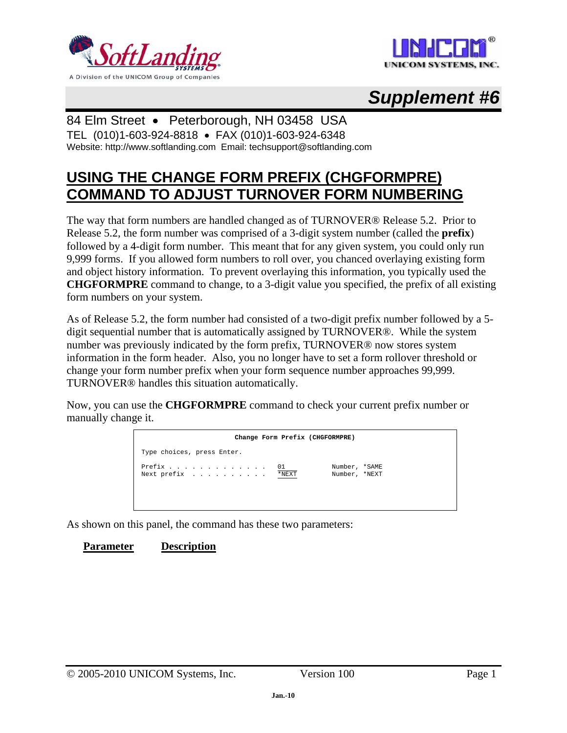





### 84 Elm Street • Peterborough, NH 03458 USA

TEL (010)1-603-924-8818 • FAX (010)1-603-924-6348 Website: http://www.softlanding.com Email: techsupport@softlanding.com

## **USING THE CHANGE FORM PREFIX (CHGFORMPRE) COMMAND TO ADJUST TURNOVER FORM NUMBERING**

The way that form numbers are handled changed as of TURNOVER® Release 5.2. Prior to Release 5.2, the form number was comprised of a 3-digit system number (called the **prefix**) followed by a 4-digit form number. This meant that for any given system, you could only run 9,999 forms. If you allowed form numbers to roll over, you chanced overlaying existing form and object history information. To prevent overlaying this information, you typically used the **CHGFORMPRE** command to change, to a 3-digit value you specified, the prefix of all existing form numbers on your system.

As of Release 5.2, the form number had consisted of a two-digit prefix number followed by a 5 digit sequential number that is automatically assigned by TURNOVER®. While the system number was previously indicated by the form prefix, TURNOVER® now stores system information in the form header. Also, you no longer have to set a form rollover threshold or change your form number prefix when your form sequence number approaches 99,999. TURNOVER® handles this situation automatically.

Now, you can use the **CHGFORMPRE** command to check your current prefix number or manually change it.



As shown on this panel, the command has these two parameters:

#### **Parameter Description**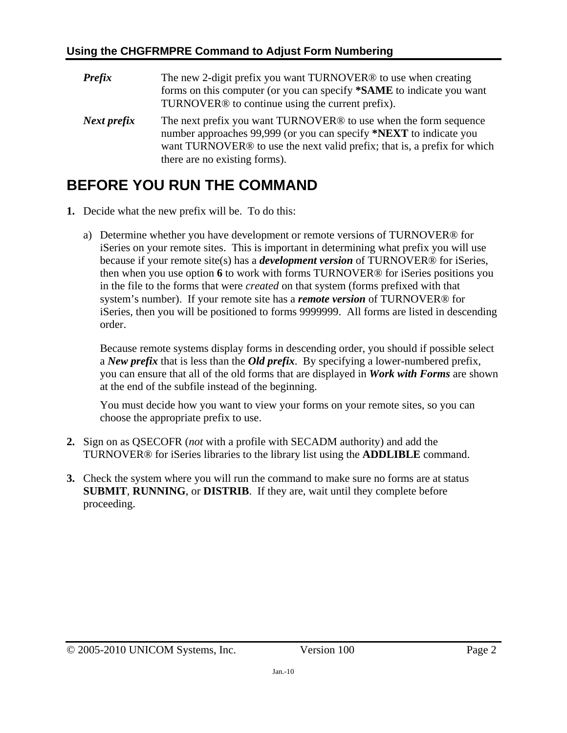| <b>Prefix</b> | The new 2-digit prefix you want TURNOVER <sup>®</sup> to use when creating<br>forms on this computer (or you can specify * <b>SAME</b> to indicate you want<br>TURNOVER <sup>®</sup> to continue using the current prefix).                                                 |
|---------------|-----------------------------------------------------------------------------------------------------------------------------------------------------------------------------------------------------------------------------------------------------------------------------|
| Next prefix   | The next prefix you want TURNOVER <sup>®</sup> to use when the form sequence<br>number approaches 99,999 (or you can specify *NEXT to indicate you<br>want TURNOVER <sup>®</sup> to use the next valid prefix; that is, a prefix for which<br>there are no existing forms). |

# **BEFORE YOU RUN THE COMMAND**

- **1.** Decide what the new prefix will be. To do this:
	- a) Determine whether you have development or remote versions of TURNOVER® for iSeries on your remote sites. This is important in determining what prefix you will use because if your remote site(s) has a *development version* of TURNOVER® for iSeries, then when you use option **6** to work with forms TURNOVER® for iSeries positions you in the file to the forms that were *created* on that system (forms prefixed with that system's number). If your remote site has a *remote version* of TURNOVER® for iSeries, then you will be positioned to forms 9999999. All forms are listed in descending order.

Because remote systems display forms in descending order, you should if possible select a *New prefix* that is less than the *Old prefix*. By specifying a lower-numbered prefix, you can ensure that all of the old forms that are displayed in *Work with Forms* are shown at the end of the subfile instead of the beginning.

You must decide how you want to view your forms on your remote sites, so you can choose the appropriate prefix to use.

- **2.** Sign on as QSECOFR (*not* with a profile with SECADM authority) and add the TURNOVER® for iSeries libraries to the library list using the **ADDLIBLE** command.
- **3.** Check the system where you will run the command to make sure no forms are at status **SUBMIT**, **RUNNING**, or **DISTRIB**. If they are, wait until they complete before proceeding.